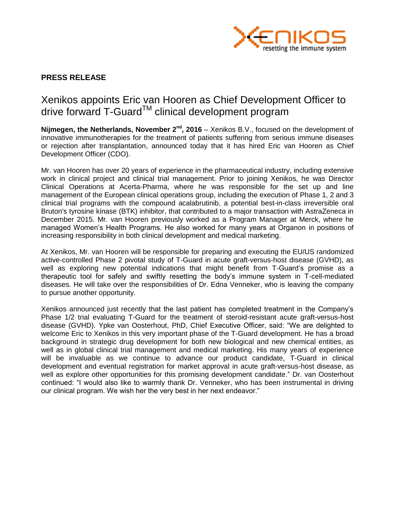

## **PRESS RELEASE**

# Xenikos appoints Eric van Hooren as Chief Development Officer to drive forward T-Guard<sup>™</sup> clinical development program

**Nijmegen, the Netherlands, November 2<sup>nd</sup>, 2016** – Xenikos B.V., focused on the development of innovative immunotherapies for the treatment of patients suffering from serious immune diseases or rejection after transplantation, announced today that it has hired Eric van Hooren as Chief Development Officer (CDO).

Mr. van Hooren has over 20 years of experience in the pharmaceutical industry, including extensive work in clinical project and clinical trial management. Prior to joining Xenikos, he was Director Clinical Operations at Acerta-Pharma, where he was responsible for the set up and line management of the European clinical operations group, including the execution of Phase 1, 2 and 3 clinical trial programs with the compound acalabrutinib, a potential best-in-class irreversible oral Bruton's tyrosine kinase (BTK) inhibitor, that contributed to a major transaction with AstraZeneca in December 2015. Mr. van Hooren previously worked as a Program Manager at Merck, where he managed Women's Health Programs. He also worked for many years at Organon in positions of increasing responsibility in both clinical development and medical marketing.

At Xenikos, Mr. van Hooren will be responsible for preparing and executing the EU/US randomized active-controlled Phase 2 pivotal study of T-Guard in acute graft-versus-host disease (GVHD), as well as exploring new potential indications that might benefit from T-Guard's promise as a therapeutic tool for safely and swiftly resetting the body's immune system in T-cell-mediated diseases. He will take over the responsibilities of Dr. Edna Venneker, who is leaving the company to pursue another opportunity.

Xenikos announced just recently that the last patient has completed treatment in the Company's Phase 1/2 trial evaluating T-Guard for the treatment of steroid-resistant acute graft-versus-host disease (GVHD). Ypke van Oosterhout, PhD, Chief Executive Officer, said: "We are delighted to welcome Eric to Xenikos in this very important phase of the T-Guard development. He has a broad background in strategic drug development for both new biological and new chemical entities, as well as in global clinical trial management and medical marketing. His many years of experience will be invaluable as we continue to advance our product candidate, T-Guard in clinical development and eventual registration for market approval in acute graft-versus-host disease, as well as explore other opportunities for this promising development candidate." Dr. van Oosterhout continued: "I would also like to warmly thank Dr. Venneker, who has been instrumental in driving our clinical program. We wish her the very best in her next endeavor."